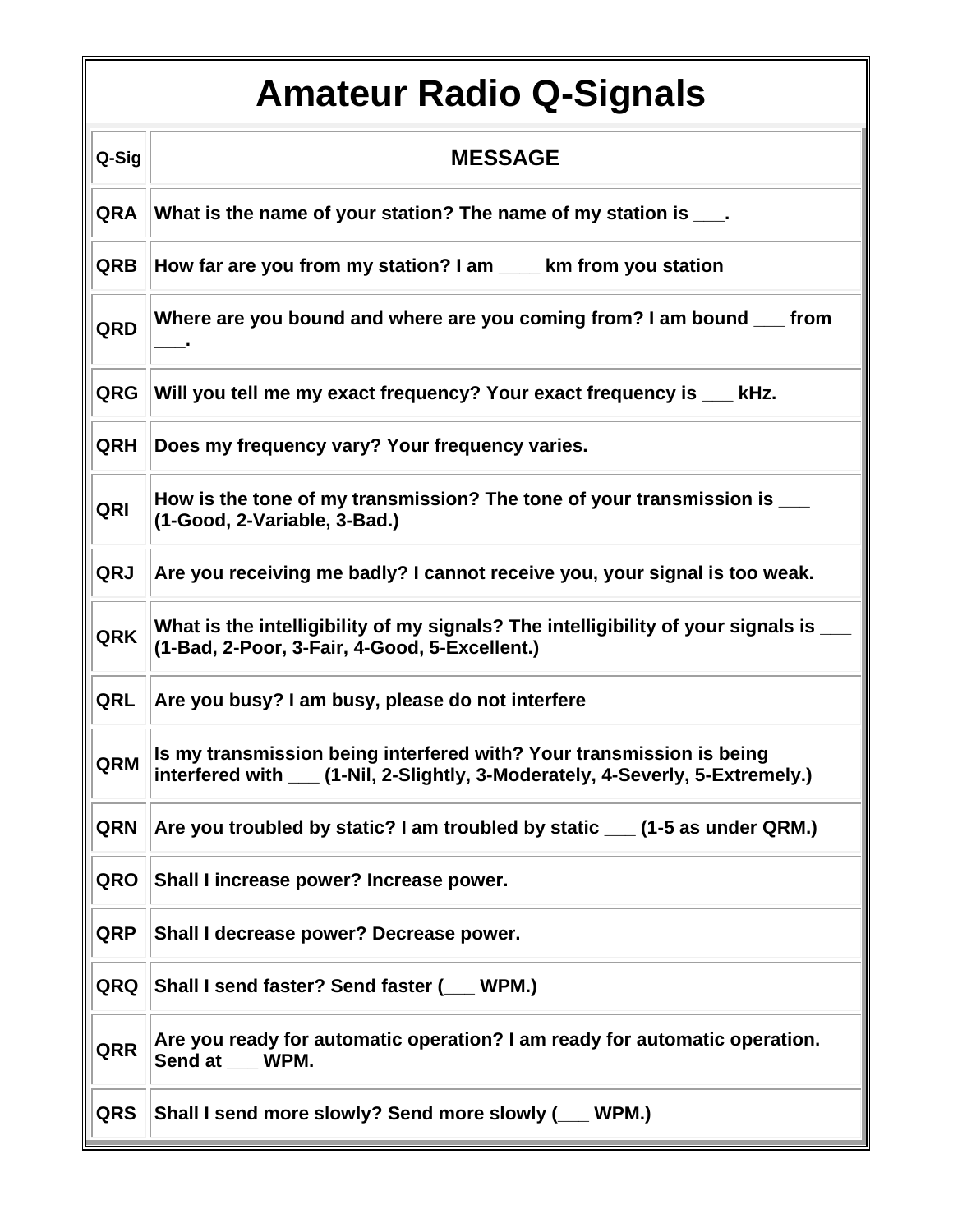## **Amateur Radio Q-Signals**

| Q-Sig      | <b>MESSAGE</b>                                                                                                                                         |
|------------|--------------------------------------------------------------------------------------------------------------------------------------------------------|
| <b>QRA</b> | What is the name of your station? The name of my station is ___.                                                                                       |
| <b>QRB</b> | How far are you from my station? I am ____ km from you station                                                                                         |
| QRD        | Where are you bound and where are you coming from? I am bound ___ from                                                                                 |
| <b>QRG</b> | Will you tell me my exact frequency? Your exact frequency is ___ kHz.                                                                                  |
| QRH        | Does my frequency vary? Your frequency varies.                                                                                                         |
| QRI        | How is the tone of my transmission? The tone of your transmission is ___<br>(1-Good, 2-Variable, 3-Bad.)                                               |
| QRJ        | Are you receiving me badly? I cannot receive you, your signal is too weak.                                                                             |
| <b>QRK</b> | What is the intelligibility of my signals? The intelligibility of your signals is _<br>(1-Bad, 2-Poor, 3-Fair, 4-Good, 5-Excellent.)                   |
| QRL        | Are you busy? I am busy, please do not interfere                                                                                                       |
| QRM        | Is my transmission being interfered with? Your transmission is being<br>interfered with ___ (1-Nil, 2-Slightly, 3-Moderately, 4-Severly, 5-Extremely.) |
| QRN        | Are you troubled by static? I am troubled by static ___ (1-5 as under QRM.)                                                                            |
| QRO        | Shall I increase power? Increase power.                                                                                                                |
| QRP        | Shall I decrease power? Decrease power.                                                                                                                |
| QRQ        | Shall I send faster? Send faster (WPM.)                                                                                                                |
| QRR        | Are you ready for automatic operation? I am ready for automatic operation.<br>Send at ___ WPM.                                                         |
| <b>QRS</b> | Shall I send more slowly? Send more slowly (__ WPM.)                                                                                                   |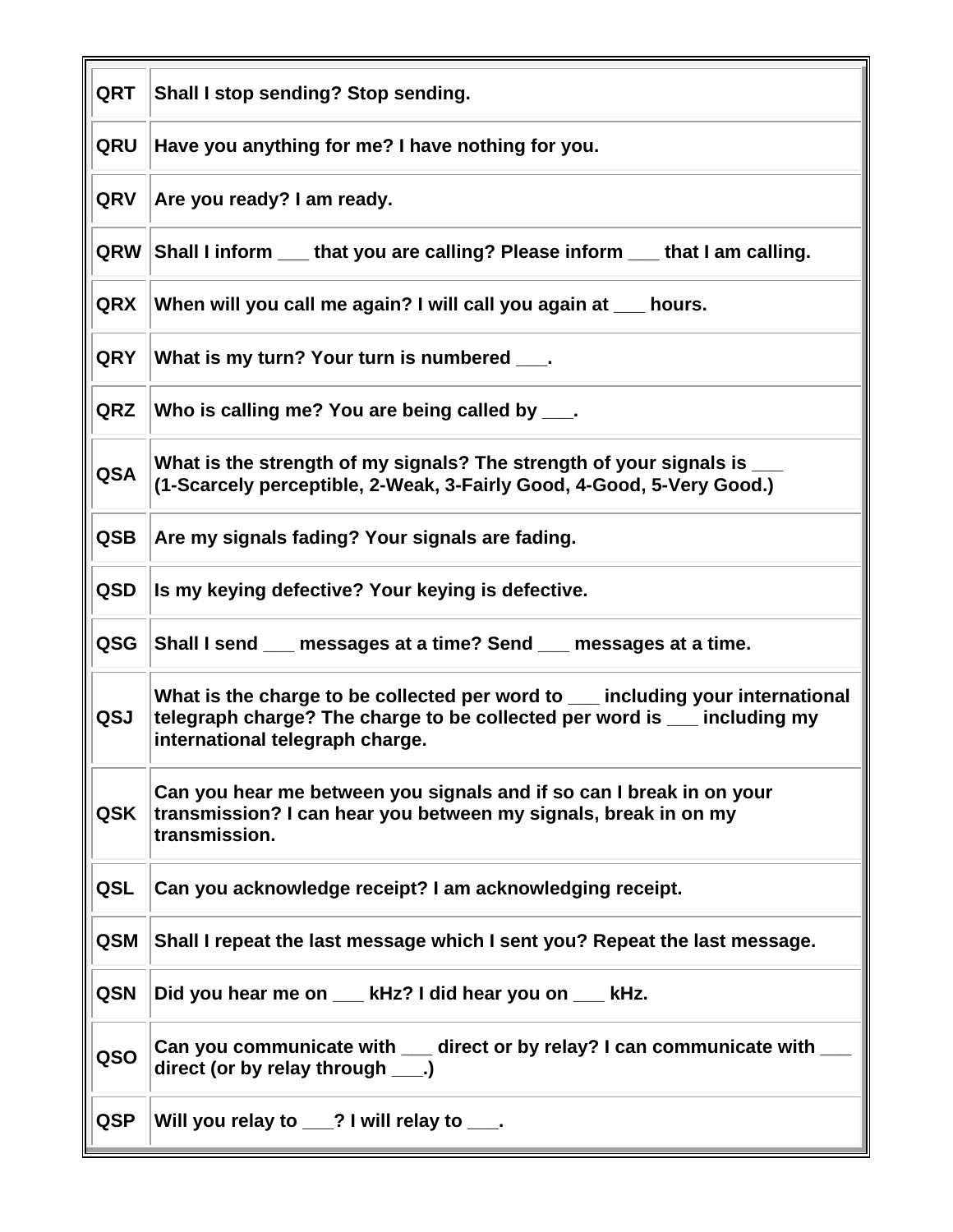| <b>QRT</b> | Shall I stop sending? Stop sending.                                                                                                                                                           |
|------------|-----------------------------------------------------------------------------------------------------------------------------------------------------------------------------------------------|
| QRU        | Have you anything for me? I have nothing for you.                                                                                                                                             |
| <b>QRV</b> | Are you ready? I am ready.                                                                                                                                                                    |
| <b>QRW</b> | Shall I inform ____ that you are calling? Please inform ____ that I am calling.                                                                                                               |
| <b>QRX</b> | When will you call me again? I will call you again at ___ hours.                                                                                                                              |
| <b>QRY</b> | What is my turn? Your turn is numbered ____.                                                                                                                                                  |
| <b>QRZ</b> | Who is calling me? You are being called by ____.                                                                                                                                              |
| <b>QSA</b> | What is the strength of my signals? The strength of your signals is _<br>(1-Scarcely perceptible, 2-Weak, 3-Fairly Good, 4-Good, 5-Very Good.)                                                |
| <b>QSB</b> | Are my signals fading? Your signals are fading.                                                                                                                                               |
| <b>QSD</b> | Is my keying defective? Your keying is defective.                                                                                                                                             |
| QSG        | Shall I send __ messages at a time? Send __ messages at a time.                                                                                                                               |
| QSJ        | What is the charge to be collected per word to __ including your international<br>telegraph charge? The charge to be collected per word is __ including my<br>international telegraph charge. |
| <b>QSK</b> | Can you hear me between you signals and if so can I break in on your<br>transmission? I can hear you between my signals, break in on my<br>transmission.                                      |
| QSL        | Can you acknowledge receipt? I am acknowledging receipt.                                                                                                                                      |
| <b>QSM</b> | Shall I repeat the last message which I sent you? Repeat the last message.                                                                                                                    |
| <b>QSN</b> | Did you hear me on __ kHz? I did hear you on __ kHz.                                                                                                                                          |
| QSO        | Can you communicate with ___ direct or by relay? I can communicate with<br>direct (or by relay through ____.)                                                                                 |
| <b>QSP</b> | Will you relay to __? I will relay to ___.                                                                                                                                                    |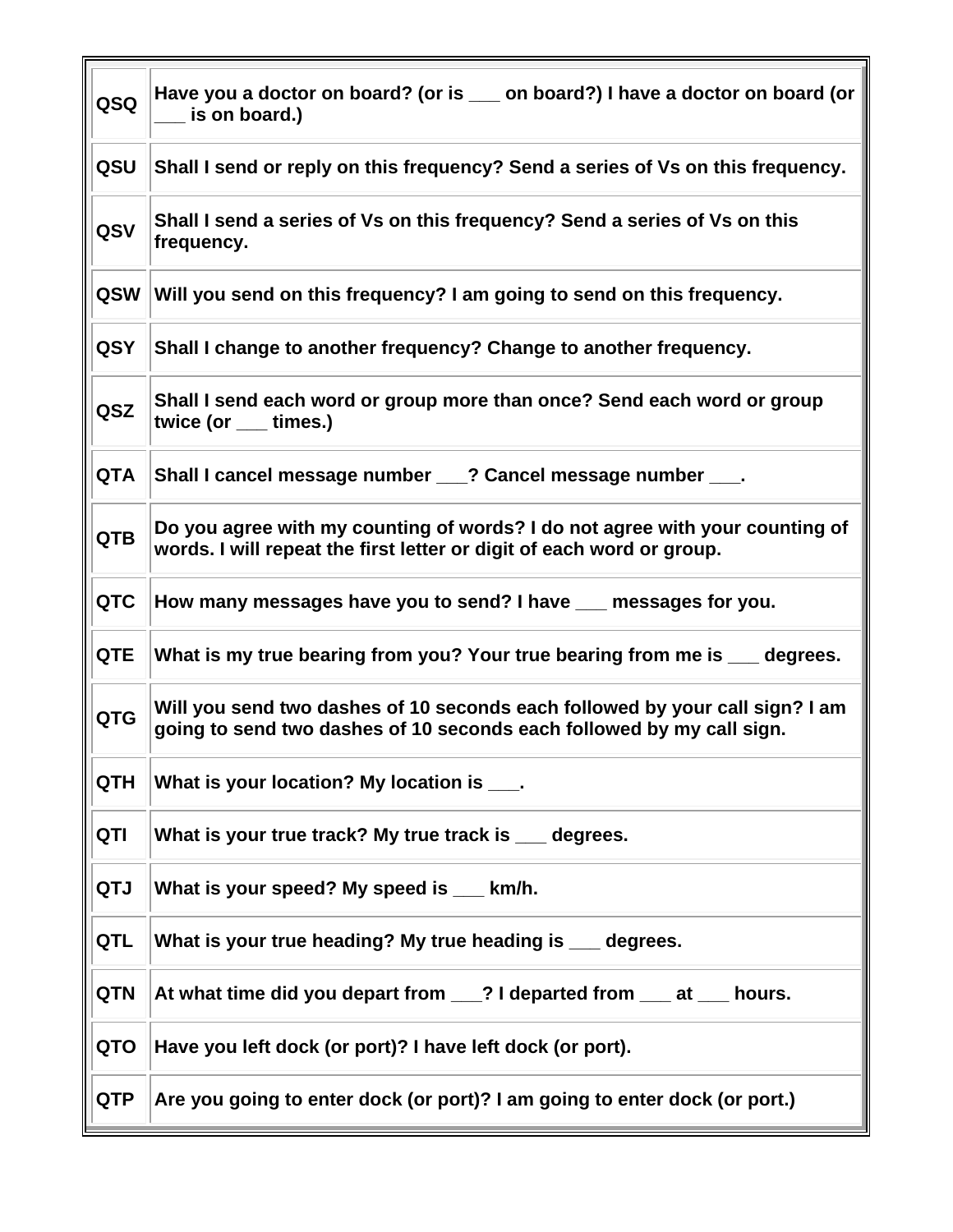| QSQ        | Have you a doctor on board? (or is __ on board?) I have a doctor on board (or<br>_ is on board.)                                                      |
|------------|-------------------------------------------------------------------------------------------------------------------------------------------------------|
| QSU        | Shall I send or reply on this frequency? Send a series of Vs on this frequency.                                                                       |
| QSV        | Shall I send a series of Vs on this frequency? Send a series of Vs on this<br>frequency.                                                              |
| <b>QSW</b> | Will you send on this frequency? I am going to send on this frequency.                                                                                |
| <b>QSY</b> | Shall I change to another frequency? Change to another frequency.                                                                                     |
| QSZ        | Shall I send each word or group more than once? Send each word or group<br>twice (or ___ times.)                                                      |
| <b>QTA</b> | Shall I cancel message number ___? Cancel message number ___.                                                                                         |
| <b>QTB</b> | Do you agree with my counting of words? I do not agree with your counting of<br>words. I will repeat the first letter or digit of each word or group. |
| <b>QTC</b> | How many messages have you to send? I have ___ messages for you.                                                                                      |
| <b>QTE</b> | What is my true bearing from you? Your true bearing from me is ___ degrees.                                                                           |
| <b>QTG</b> | Will you send two dashes of 10 seconds each followed by your call sign? I am<br>going to send two dashes of 10 seconds each followed by my call sign. |
| <b>QTH</b> | What is your location? My location is ___.                                                                                                            |
| QTI        | What is your true track? My true track is ___ degrees.                                                                                                |
| QTJ        | What is your speed? My speed is __ km/h.                                                                                                              |
| <b>QTL</b> | What is your true heading? My true heading is __ degrees.                                                                                             |
| <b>QTN</b> | At what time did you depart from __? I departed from __ at __ hours.                                                                                  |
| QTO        | Have you left dock (or port)? I have left dock (or port).                                                                                             |
| <b>QTP</b> | Are you going to enter dock (or port)? I am going to enter dock (or port.)                                                                            |

 $\overline{\mathbf{u}}$